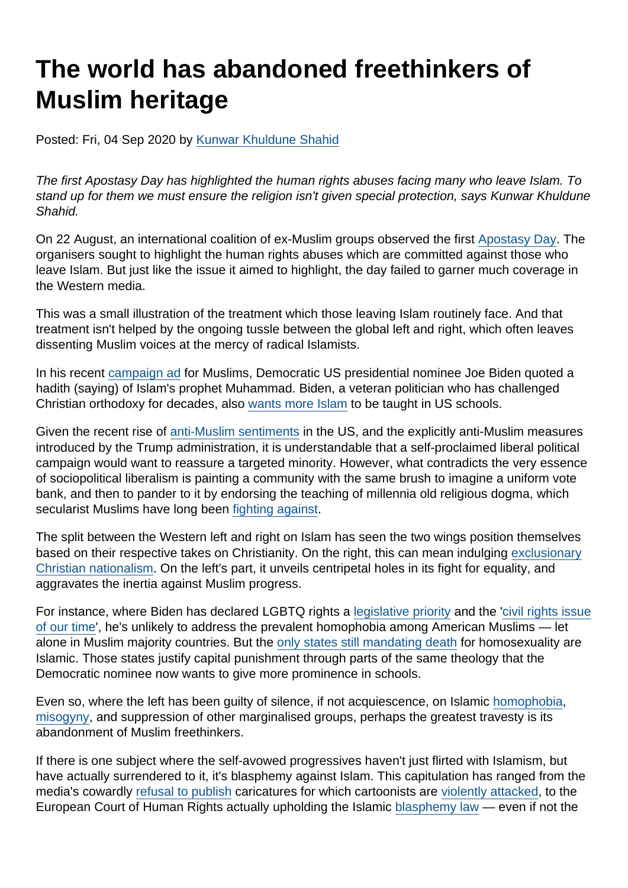## The world has abandoned freethinkers of Muslim heritage

Posted: Fri, 04 Sep 2020 by [Kunwar Khuldune Shahid](https://www.secularism.org.uk/opinion/authors/930)

The first Apostasy Day has highlighted the human rights abuses facing many who leave Islam. To stand up for them we must ensure the religion isn't given special protection, says Kunwar Khuldune Shahid.

On 22 August, an international coalition of ex-Muslim groups observed the first [Apostasy Day.](https://www.counterview.net/2020/08/august-22-to-be-observed-as-apostasy.html) The organisers sought to highlight the human rights abuses which are committed against those who leave Islam. But just like the issue it aimed to highlight, the day failed to garner much coverage in the Western media.

This was a small illustration of the treatment which those leaving Islam routinely face. And that treatment isn't helped by the ongoing tussle between the global left and right, which often leaves dissenting Muslim voices at the mercy of radical Islamists.

In his recent [campaign ad](https://www.youtube.com/watch?v=ra6u39U1wZ4) for Muslims, Democratic US presidential nominee Joe Biden quoted a hadith (saying) of Islam's prophet Muhammad. Biden, a veteran politician who has challenged Christian orthodoxy for decades, also [wants more Islam](https://www.youtube.com/watch?v=cjlSPuB-c7k) to be taught in US schools.

Given the recent rise of [anti-Muslim sentiments](https://www.newamerica.org/in-depth/anti-muslim-activity/) in the US, and the explicitly anti-Muslim measures introduced by the Trump administration, it is understandable that a self-proclaimed liberal political campaign would want to reassure a targeted minority. However, what contradicts the very essence of sociopolitical liberalism is painting a community with the same brush to imagine a uniform vote bank, and then to pander to it by endorsing the teaching of millennia old religious dogma, which secularist Muslims have long been [fighting against](https://www.amazon.com/Islam-Science-Religious-Orthodoxy-Rationality/dp/1856490254).

The split between the Western left and right on Islam has seen the two wings position themselves based on their respective takes on Christianity. On the right, this can mean indulging [exclusionary](https://www.secularism.org.uk/opinion/2017/01/president-trump-american-theocrat) [Christian nationalism](https://www.secularism.org.uk/opinion/2017/01/president-trump-american-theocrat). On the left's part, it unveils centripetal holes in its fight for equality, and aggravates the inertia against Muslim progress.

For instance, where Biden has declared LGBTQ rights a [legislative priority](https://www.businessinsider.com/joe-biden-lgbtq-rights-top-legislative-priority-2019-6) and the '[civil rights issue](https://twitter.com/joebiden/status/1221135646107955200?lang=en) [of our time](https://twitter.com/joebiden/status/1221135646107955200?lang=en)', he's unlikely to address the prevalent homophobia among American Muslims — let alone in Muslim majority countries. But the [only states still mandating death](https://www.usatoday.com/story/money/2019/06/14/countries-where-being-gay-is-legally-punishable-by-death/39574685/) for homosexuality are Islamic. Those states justify capital punishment through parts of the same theology that the Democratic nominee now wants to give more prominence in schools.

Even so, where the left has been guilty of silence, if not acquiescence, on Islamic [homophobia,](https://areomagazine.com/2019/02/12/multiculturalism-cannot-include-respect-for-homophobia/) [misogyny,](https://areomagazine.com/2018/05/02/islamic-feminism-is-a-myth/) and suppression of other marginalised groups, perhaps the greatest travesty is its abandonment of Muslim freethinkers.

If there is one subject where the self-avowed progressives haven't just flirted with Islamism, but have actually surrendered to it, it's blasphemy against Islam. This capitulation has ranged from the media's cowardly [refusal to publish](https://www.theguardian.com/media/2015/jan/08/charlie-hebdo-muhammad-cartoons-independent-amol-rajan) caricatures for which cartoonists are [violently attacked](https://www.theguardian.com/world/2010/jan/04/danish-cartoonist-axe-attack), to the European Court of Human Rights actually upholding the Islamic [blasphemy law](http://www.sedaa.org/2018/11/asia-bibi-is-trying-to-escape-the-bloodlust-of-the-same-blasphemy-law-that-european-courts-are-endorsing/) — even if not the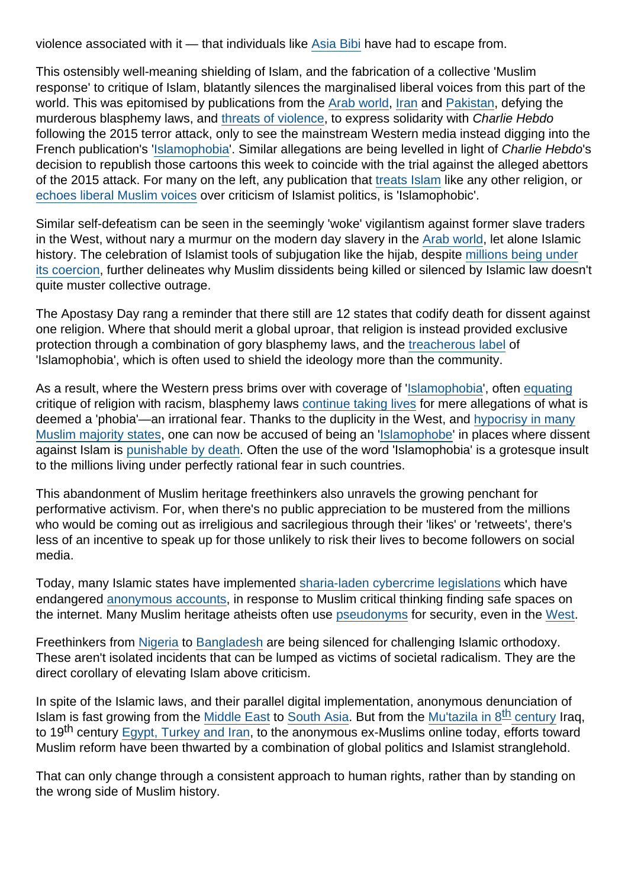violence associated with it — that individuals like [Asia Bibi](https://www.theguardian.com/commentisfree/2018/nov/01/release-asia-bibi-pakistan-blasphemy-laws) have had to escape from.

This ostensibly well-meaning shielding of Islam, and the fabrication of a collective 'Muslim response' to critique of Islam, blatantly silences the marginalised liberal voices from this part of the world. This was epitomised by publications from the [Arab world,](https://www.vox.com/2015/1/10/7521757/9-powerful-arab-political-cartoons-responding-to-the-charlie-hebdo) [Iran](https://www.theguardian.com/world/2015/jan/19/iranian-newspaper-mardom-e-emrooz-shut-down-showing-solidarity-charlie-hebdo) and [Pakistan,](https://nation.com.pk/07-May-2015/i-am-sabeen-but-not-charlie) defying the murderous blasphemy laws, and [threats of violence](https://edition.cnn.com/2015/01/20/world/charlie-hebdo-violence/index.html), to express solidarity with Charlie Hebdo following the 2015 terror attack, only to see the mainstream Western media instead digging into the French publication's '[Islamophobia](https://www.independent.co.uk/news/world/europe/charlie-hebdo-murdered-staff-given-islamophobe-of-the-year-award-10100317.html)'. Similar allegations are being levelled in light of Charlie Hebdo's decision to republish those cartoons this week to coincide with the trial against the alleged abettors of the 2015 attack. For many on the left, any publication that [treats Islam](https://nation.com.pk/07-May-2015/i-am-sabeen-but-not-charlie) like any other religion, or [echoes liberal Muslim voices](http://www.sedaa.org/2016/04/is-charlie-hebdo-islamophobic-for-echoing-liberal-muslim-voices/) over criticism of Islamist politics, is 'Islamophobic'.

Similar self-defeatism can be seen in the seemingly 'woke' vigilantism against former slave traders in the West, without nary a murmur on the modern day slavery in the [Arab world](https://www.globalslaveryindex.org/2018/findings/regional-analysis/arab-states/), let alone Islamic history. The celebration of Islamist tools of subjugation like the hijab, despite [millions being under](https://nation.com.pk/24-Dec-2015/it-s-hard-to-accept-hijab-as-a-symbol-of-liberation-in-free-societies-when-millions-are-oppressed) [its coercion,](https://nation.com.pk/24-Dec-2015/it-s-hard-to-accept-hijab-as-a-symbol-of-liberation-in-free-societies-when-millions-are-oppressed) further delineates why Muslim dissidents being killed or silenced by Islamic law doesn't quite muster collective outrage.

The Apostasy Day rang a reminder that there still are 12 states that codify death for dissent against one religion. Where that should merit a global uproar, that religion is instead provided exclusive protection through a combination of gory blasphemy laws, and the [treacherous label](https://nation.com.pk/28-Mar-2017/let-s-call-it-muslimophobia) of 'Islamophobia', which is often used to shield the ideology more than the community.

As a result, where the Western press brims over with coverage of '[Islamophobia](https://www.theguardian.com/news/islamophobia)', often [equating](https://www.elmundo.es/internacional/2018/04/20/5ad8d9ed268e3e880c8b4624.html) critique of religion with racism, blasphemy laws [continue taking lives](https://thediplomat.com/2020/07/pakistans-bloodthirsty-blasphemy-law-needs-to-be-repealed/) for mere allegations of what is deemed a 'phobia'—an irrational fear. Thanks to the duplicity in the West, and [hypocrisy in many](https://www.spectator.co.uk/article/the-hypocrisy-of-turkey-and-pakistan-s-islamophobia-claims) [Muslim majority states,](https://www.spectator.co.uk/article/the-hypocrisy-of-turkey-and-pakistan-s-islamophobia-claims) one can now be accused of being an '[Islamophobe](https://web.facebook.com/zeeba.hashmi.7/posts/10158388121397334)' in places where dissent against Islam is [punishable by death](https://thediplomat.com/2020/07/pakistans-bloodthirsty-blasphemy-law-needs-to-be-repealed/). Often the use of the word 'Islamophobia' is a grotesque insult to the millions living under perfectly rational fear in such countries.

This abandonment of Muslim heritage freethinkers also unravels the growing penchant for performative activism. For, when there's no public appreciation to be mustered from the millions who would be coming out as irreligious and sacrilegious through their 'likes' or 'retweets', there's less of an incentive to speak up for those unlikely to risk their lives to become followers on social media.

Today, many Islamic states have implemented [sharia-laden cybercrime legislations](https://www.article19.org/data/files/medialibrary/2921/12-01-30-FINAL-iran-WEB[4].pdf) which have endangered [anonymous accounts,](https://thediplomat.com/2017/01/pakistans-missing-activists-and-the-states-war-on-online-anonymity/) in response to Muslim critical thinking finding safe spaces on the internet. Many Muslim heritage atheists often use [pseudonyms](https://en.qantara.de/content/atheism-in-the-arab-world-moroccos-atheists-find-a-home-on-the-internet?nopaging=1) for security, even in the [West.](https://www.bbc.com/news/magazine-34357047)

Freethinkers from [Nigeria](https://www.nytimes.com/2020/08/25/world/africa/nigeria-blasphemy-atheist-islam.html) to [Bangladesh](https://www.dw.com/en/blogger-faces-death-threats-for-criticizing-islam/a-54678246) are being silenced for challenging Islamic orthodoxy. These aren't isolated incidents that can be lumped as victims of societal radicalism. They are the direct corollary of elevating Islam above criticism.

In spite of the Islamic laws, and their parallel digital implementation, anonymous denunciation of Islam is fast growing from the [Middle East](https://www.bbc.com/news/world-middle-east-48703377) to [South Asia.](https://thediplomat.com/2019/08/the-defiance-of-pakistani-atheists/) But from the Mu'tazila in  $8<sup>th</sup>$  century Iraq, to 19<sup>th</sup> century [Egypt, Turkey and Iran](https://www.spectator.co.uk/article/islam-s-lost-enlightenment), to the anonymous ex-Muslims online today, efforts toward Muslim reform have been thwarted by a combination of global politics and Islamist stranglehold.

That can only change through a consistent approach to human rights, rather than by standing on the wrong side of Muslim history.